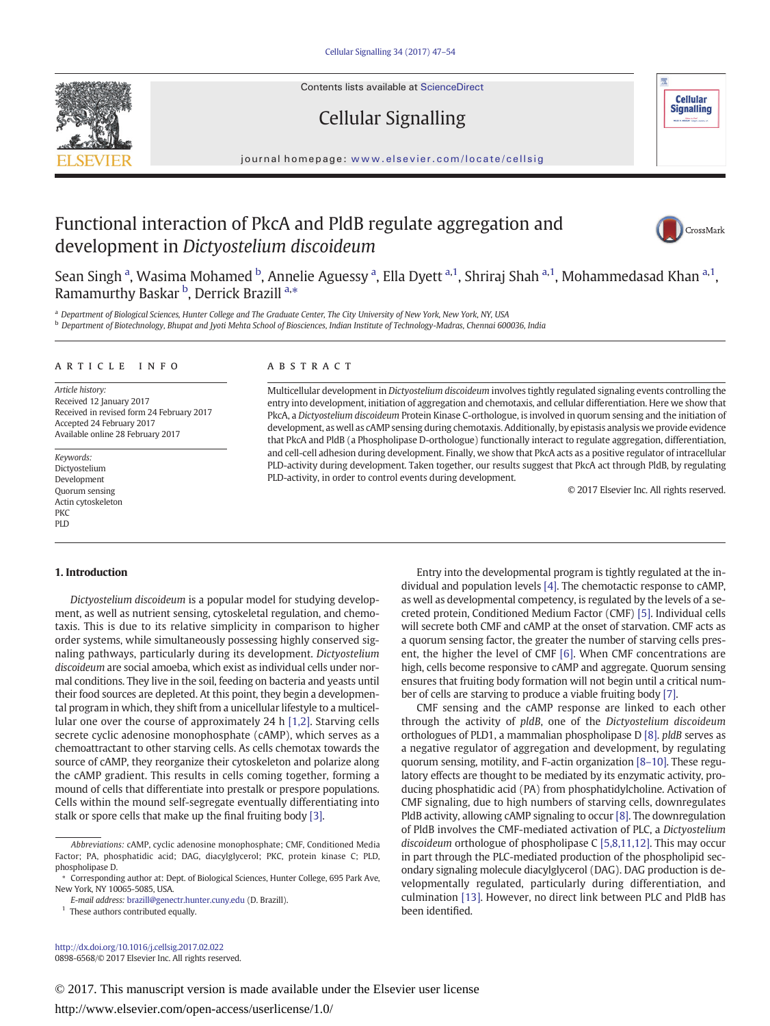Contents lists available at ScienceDirect



# Cellular Signalling

journal homepage: www.elsevier.com/locate/cellsig

## Functional interaction of PkcA and PldB regulate aggregation and development in Dictyostelium discoideum



Sean Singh <sup>a</sup>, Wasima Mohamed <sup>b</sup>, Annelie Aguessy <sup>a</sup>, Ella Dyett <sup>a, 1</sup>, Shriraj Shah <sup>a, 1</sup>, Mohammedasad Khan <sup>a, 1</sup>, Ramamurthy Baskar <sup>b</sup>, Derrick Brazill <sup>a,\*</sup>

a Department of Biological Sciences, Hunter College and The Graduate Center, The City University of New York, New York, NY, USA <sup>b</sup> Department of Biotechnology, Bhupat and Jyoti Mehta School of Biosciences, Indian Institute of Technology-Madras, Chennai 600036, India

#### article info abstract

Article history: Received 12 January 2017 Received in revised form 24 February 2017 Accepted 24 February 2017 Available online 28 February 2017

Keywords: Dictyostelium Development Quorum sensing Actin cytoskeleton PKC PLD

Multicellular development in Dictyostelium discoideum involves tightly regulated signaling events controlling the entry into development, initiation of aggregation and chemotaxis, and cellular differentiation. Here we show that PkcA, a Dictyostelium discoideum Protein Kinase C-orthologue, is involved in quorum sensing and the initiation of development, as well as cAMP sensing during chemotaxis. Additionally, by epistasis analysis we provide evidence that PkcA and PldB (a Phospholipase D-orthologue) functionally interact to regulate aggregation, differentiation, and cell-cell adhesion during development. Finally, we show that PkcA acts as a positive regulator of intracellular PLD-activity during development. Taken together, our results suggest that PkcA act through PldB, by regulating PLD-activity, in order to control events during development.

© 2017 Elsevier Inc. All rights reserved.

#### 1. Introduction

Dictyostelium discoideum is a popular model for studying development, as well as nutrient sensing, cytoskeletal regulation, and chemotaxis. This is due to its relative simplicity in comparison to higher order systems, while simultaneously possessing highly conserved signaling pathways, particularly during its development. Dictyostelium discoideum are social amoeba, which exist as individual cells under normal conditions. They live in the soil, feeding on bacteria and yeasts until their food sources are depleted. At this point, they begin a developmental program in which, they shift from a unicellular lifestyle to a multicellular one over the course of approximately 24 h [1,2]. Starving cells secrete cyclic adenosine monophosphate (cAMP), which serves as a chemoattractant to other starving cells. As cells chemotax towards the source of cAMP, they reorganize their cytoskeleton and polarize along the cAMP gradient. This results in cells coming together, forming a mound of cells that differentiate into prestalk or prespore populations. Cells within the mound self-segregate eventually differentiating into stalk or spore cells that make up the final fruiting body [3].

E-mail address: brazill@genectr.hunter.cuny.edu (D. Brazill).

 $^{\rm 1}$  These authors contributed equally.

http://dx.doi.org/10.1016/j.cellsig.2017.02.022 0898-6568/© 2017 Elsevier Inc. All rights reserved.

Entry into the developmental program is tightly regulated at the individual and population levels [4]. The chemotactic response to cAMP, as well as developmental competency, is regulated by the levels of a secreted protein, Conditioned Medium Factor (CMF) [5]. Individual cells will secrete both CMF and cAMP at the onset of starvation. CMF acts as a quorum sensing factor, the greater the number of starving cells present, the higher the level of CMF [6]. When CMF concentrations are high, cells become responsive to cAMP and aggregate. Quorum sensing ensures that fruiting body formation will not begin until a critical number of cells are starving to produce a viable fruiting body [7].

CMF sensing and the cAMP response are linked to each other through the activity of pldB, one of the Dictyostelium discoideum orthologues of PLD1, a mammalian phospholipase D [8]. pldB serves as a negative regulator of aggregation and development, by regulating quorum sensing, motility, and F-actin organization [8–10]. These regulatory effects are thought to be mediated by its enzymatic activity, producing phosphatidic acid (PA) from phosphatidylcholine. Activation of CMF signaling, due to high numbers of starving cells, downregulates PldB activity, allowing cAMP signaling to occur [8]. The downregulation of PldB involves the CMF-mediated activation of PLC, a Dictyostelium discoideum orthologue of phospholipase C [5,8,11,12]. This may occur in part through the PLC-mediated production of the phospholipid secondary signaling molecule diacylglycerol (DAG). DAG production is developmentally regulated, particularly during differentiation, and culmination [13]. However, no direct link between PLC and PldB has been identified.

© 2017. This manuscript version is made available under the Elsevier user license

Abbreviations: cAMP, cyclic adenosine monophosphate; CMF, Conditioned Media Factor; PA, phosphatidic acid; DAG, diacylglycerol; PKC, protein kinase C; PLD, phospholipase D.

Corresponding author at: Dept. of Biological Sciences, Hunter College, 695 Park Ave, New York, NY 10065-5085, USA.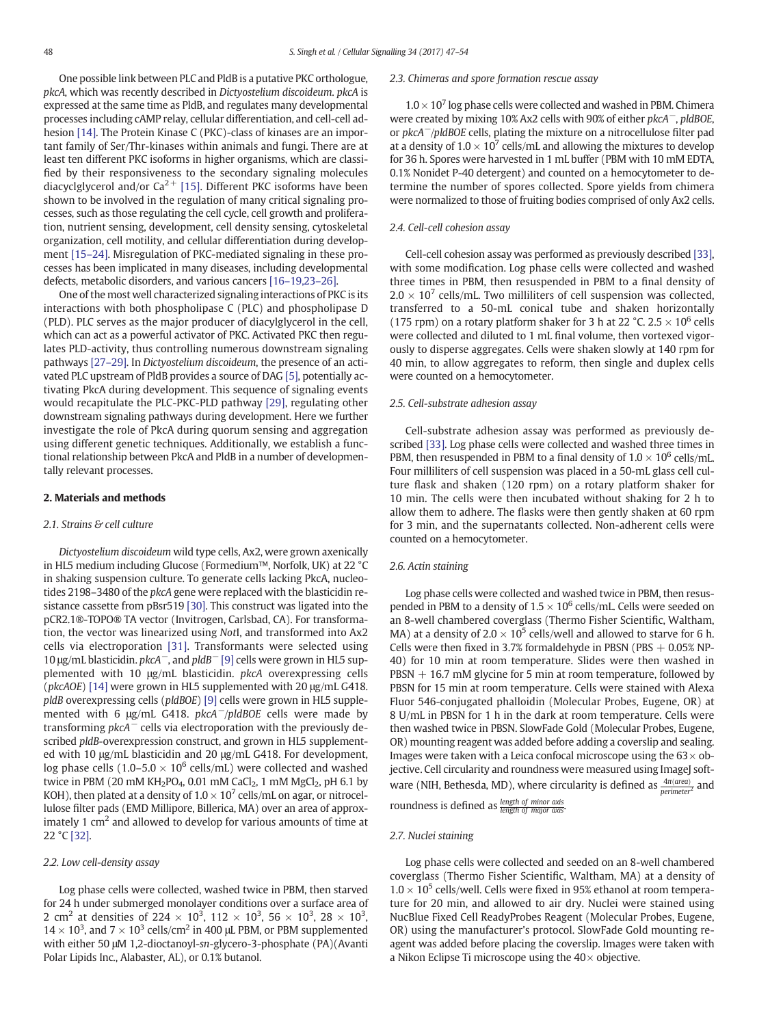One possible link between PLC and PldB is a putative PKC orthologue, pkcA, which was recently described in Dictyostelium discoideum. pkcA is expressed at the same time as PldB, and regulates many developmental processes including cAMP relay, cellular differentiation, and cell-cell adhesion [14]. The Protein Kinase C (PKC)-class of kinases are an important family of Ser/Thr-kinases within animals and fungi. There are at least ten different PKC isoforms in higher organisms, which are classified by their responsiveness to the secondary signaling molecules diacyclglycerol and/or  $Ca^{2+}$  [15]. Different PKC isoforms have been shown to be involved in the regulation of many critical signaling processes, such as those regulating the cell cycle, cell growth and proliferation, nutrient sensing, development, cell density sensing, cytoskeletal organization, cell motility, and cellular differentiation during development [15–24]. Misregulation of PKC-mediated signaling in these processes has been implicated in many diseases, including developmental defects, metabolic disorders, and various cancers [16–19,23–26].

One of the most well characterized signaling interactions of PKC is its interactions with both phospholipase C (PLC) and phospholipase D (PLD). PLC serves as the major producer of diacylglycerol in the cell, which can act as a powerful activator of PKC. Activated PKC then regulates PLD-activity, thus controlling numerous downstream signaling pathways [27–29]. In Dictyostelium discoideum, the presence of an activated PLC upstream of PldB provides a source of DAG [5], potentially activating PkcA during development. This sequence of signaling events would recapitulate the PLC-PKC-PLD pathway [29], regulating other downstream signaling pathways during development. Here we further investigate the role of PkcA during quorum sensing and aggregation using different genetic techniques. Additionally, we establish a functional relationship between PkcA and PldB in a number of developmentally relevant processes.

#### 2. Materials and methods

#### 2.1. Strains & cell culture

Dictyostelium discoideum wild type cells, Ax2, were grown axenically in HL5 medium including Glucose (Formedium™, Norfolk, UK) at 22 °C in shaking suspension culture. To generate cells lacking PkcA, nucleotides 2198–3480 of the pkcA gene were replaced with the blasticidin resistance cassette from pBsr519 [30]. This construct was ligated into the pCR2.1®-TOPO® TA vector (Invitrogen, Carlsbad, CA). For transformation, the vector was linearized using NotI, and transformed into Ax2 cells via electroporation [31]. Transformants were selected using 10 μg/mL blasticidin. pkcA−, and pldB<sup>−</sup> [9] cells were grown in HL5 supplemented with 10 μg/mL blasticidin. pkcA overexpressing cells (pkcAOE) [14] were grown in HL5 supplemented with 20 μg/mL G418. pldB overexpressing cells (pldBOE) [9] cells were grown in HL5 supplemented with 6 μg/mL G418. pkcA<sup>-</sup>/pldBOE cells were made by transforming *pkcA*<sup>−</sup> cells via electroporation with the previously described pldB-overexpression construct, and grown in HL5 supplemented with 10 μg/mL blasticidin and 20 μg/mL G418. For development, log phase cells (1.0–5.0  $\times$  10<sup>6</sup> cells/mL) were collected and washed twice in PBM (20 mM  $KH_2PO_4$ , 0.01 mM CaCl<sub>2</sub>, 1 mM MgCl<sub>2</sub>, pH 6.1 by KOH), then plated at a density of  $1.0 \times 10^{7}$  cells/mL on agar, or nitrocellulose filter pads (EMD Millipore, Billerica, MA) over an area of approximately 1  $\text{cm}^2$  and allowed to develop for various amounts of time at 22 °C [32].

#### 2.2. Low cell-density assay

Log phase cells were collected, washed twice in PBM, then starved for 24 h under submerged monolayer conditions over a surface area of 2 cm<sup>2</sup> at densities of 224  $\times$  10<sup>3</sup>, 112  $\times$  10<sup>3</sup>, 56  $\times$  10<sup>3</sup>, 28  $\times$  10<sup>3</sup>,  $14 \times 10^3$ , and  $7 \times 10^3$  cells/cm<sup>2</sup> in 400 µL PBM, or PBM supplemented with either 50 μM 1,2-dioctanoyl-sn-glycero-3-phosphate (PA)(Avanti Polar Lipids Inc., Alabaster, AL), or 0.1% butanol.

#### 2.3. Chimeras and spore formation rescue assay

 $1.0 \times 10^7$  log phase cells were collected and washed in PBM. Chimera were created by mixing 10% Ax2 cells with 90% of either *pkcA<sup>-</sup>*, *pldBOE*, or pkcA−/pldBOE cells, plating the mixture on a nitrocellulose filter pad at a density of  $1.0 \times 10^7$  cells/mL and allowing the mixtures to develop for 36 h. Spores were harvested in 1 mL buffer (PBM with 10 mM EDTA, 0.1% Nonidet P-40 detergent) and counted on a hemocytometer to determine the number of spores collected. Spore yields from chimera were normalized to those of fruiting bodies comprised of only Ax2 cells.

#### 2.4. Cell-cell cohesion assay

Cell-cell cohesion assay was performed as previously described [33], with some modification. Log phase cells were collected and washed three times in PBM, then resuspended in PBM to a final density of  $2.0 \times 10^7$  cells/mL. Two milliliters of cell suspension was collected, transferred to a 50-mL conical tube and shaken horizontally (175 rpm) on a rotary platform shaker for 3 h at 22 °C. 2.5  $\times$  10<sup>6</sup> cells were collected and diluted to 1 mL final volume, then vortexed vigorously to disperse aggregates. Cells were shaken slowly at 140 rpm for 40 min, to allow aggregates to reform, then single and duplex cells were counted on a hemocytometer.

#### 2.5. Cell-substrate adhesion assay

Cell-substrate adhesion assay was performed as previously described [33]. Log phase cells were collected and washed three times in PBM, then resuspended in PBM to a final density of  $1.0 \times 10^6$  cells/mL. Four milliliters of cell suspension was placed in a 50-mL glass cell culture flask and shaken (120 rpm) on a rotary platform shaker for 10 min. The cells were then incubated without shaking for 2 h to allow them to adhere. The flasks were then gently shaken at 60 rpm for 3 min, and the supernatants collected. Non-adherent cells were counted on a hemocytometer.

#### 2.6. Actin staining

Log phase cells were collected and washed twice in PBM, then resuspended in PBM to a density of  $1.5 \times 10^6$  cells/mL. Cells were seeded on an 8-well chambered coverglass (Thermo Fisher Scientific, Waltham, MA) at a density of  $2.0 \times 10^5$  cells/well and allowed to starve for 6 h. Cells were then fixed in 3.7% formaldehyde in PBSN (PBS  $+$  0.05% NP-40) for 10 min at room temperature. Slides were then washed in  $PBSN + 16.7$  mM glycine for 5 min at room temperature, followed by PBSN for 15 min at room temperature. Cells were stained with Alexa Fluor 546-conjugated phalloidin (Molecular Probes, Eugene, OR) at 8 U/mL in PBSN for 1 h in the dark at room temperature. Cells were then washed twice in PBSN. SlowFade Gold (Molecular Probes, Eugene, OR) mounting reagent was added before adding a coverslip and sealing. Images were taken with a Leica confocal microscope using the  $63 \times$  objective. Cell circularity and roundness were measured using ImageJ software (NIH, Bethesda, MD), where circularity is defined as  $\frac{4\pi (area)}{perimeter^2}$  and

roundness is defined as  $\frac{\text{length of minor axis}}{\text{length of major axis}}$ 

#### 2.7. Nuclei staining

Log phase cells were collected and seeded on an 8-well chambered coverglass (Thermo Fisher Scientific, Waltham, MA) at a density of  $1.0 \times 10^5$  cells/well. Cells were fixed in 95% ethanol at room temperature for 20 min, and allowed to air dry. Nuclei were stained using NucBlue Fixed Cell ReadyProbes Reagent (Molecular Probes, Eugene, OR) using the manufacturer's protocol. SlowFade Gold mounting reagent was added before placing the coverslip. Images were taken with a Nikon Eclipse Ti microscope using the  $40\times$  objective.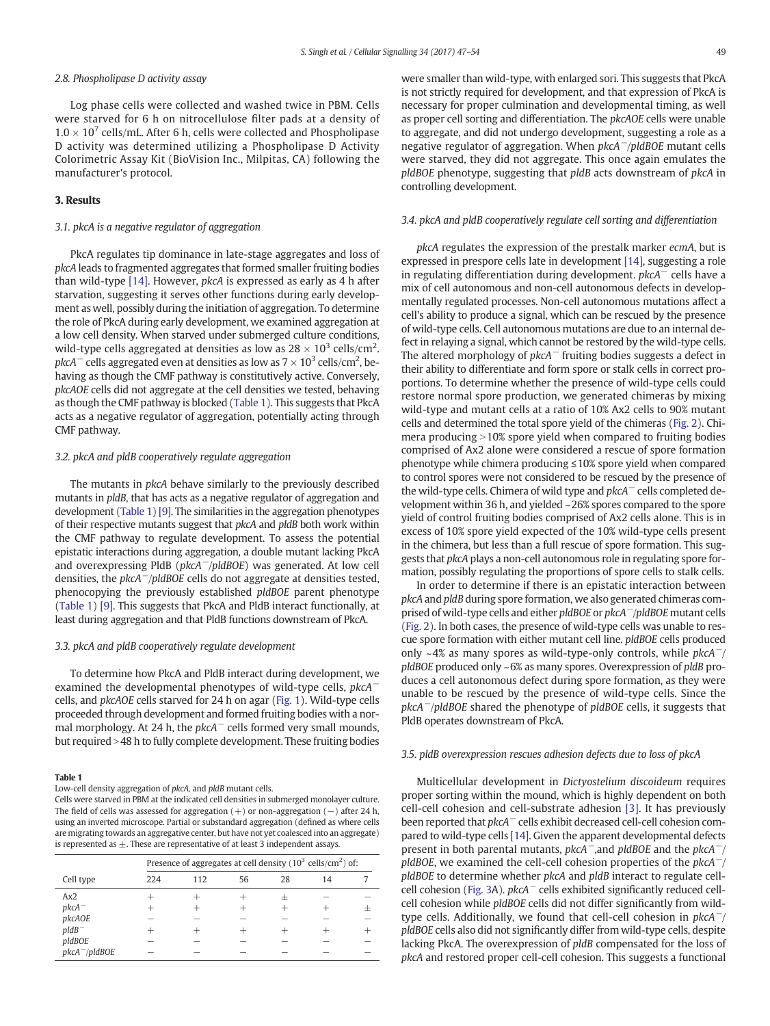#### 2.8. Phospholipase D activity assay

Log phase cells were collected and washed twice in PBM. Cells were starved for 6 h on nitrocellulose filter pads at a density of  $1.0 \times 10^7$  cells/mL. After 6 h, cells were collected and Phospholipase D activity was determined utilizing a Phospholipase D Activity Colorimetric Assay Kit (BioVision Inc., Milpitas, CA) following the manufacturer's protocol.

#### 3. Results

#### 3.1. pkcA is a negative regulator of aggregation

PkcA regulates tip dominance in late-stage aggregates and loss of pkcA leads to fragmented aggregates that formed smaller fruiting bodies than wild-type [14]. However, pkcA is expressed as early as 4 h after starvation, suggesting it serves other functions during early development as well, possibly during the initiation of aggregation. To determine the role of PkcA during early development, we examined aggregation at a low cell density. When starved under submerged culture conditions, wild-type cells aggregated at densities as low as 28  $\times$  10<sup>3</sup> cells/cm<sup>2</sup>. pkcA $^-$  cells aggregated even at densities as low as 7  $\times$  10 $^3$  cells/cm $^2$ , behaving as though the CMF pathway is constitutively active. Conversely, pkcAOE cells did not aggregate at the cell densities we tested, behaving as though the CMF pathway is blocked (Table 1). This suggests that PkcA acts as a negative regulator of aggregation, potentially acting through CMF pathway.

#### 3.2. pkcA and pldB cooperatively regulate aggregation

The mutants in pkcA behave similarly to the previously described mutants in pldB, that has acts as a negative regulator of aggregation and development (Table 1) [9]. The similarities in the aggregation phenotypes of their respective mutants suggest that *pkcA* and *pldB* both work within the CMF pathway to regulate development. To assess the potential epistatic interactions during aggregation, a double mutant lacking PkcA and overexpressing PldB (pkcA−/pldBOE) was generated. At low cell densities, the pkcA−/pldBOE cells do not aggregate at densities tested, phenocopying the previously established pldBOE parent phenotype (Table 1) [9]. This suggests that PkcA and PldB interact functionally, at least during aggregation and that PldB functions downstream of PkcA.

#### 3.3. pkcA and pldB cooperatively regulate development

To determine how PkcA and PldB interact during development, we examined the developmental phenotypes of wild-type cells, pkcA<sup>−</sup> cells, and pkcAOE cells starved for 24 h on agar (Fig. 1). Wild-type cells proceeded through development and formed fruiting bodies with a normal morphology. At 24 h, the *pkcA*<sup>−</sup> cells formed very small mounds, but required > 48 h to fully complete development. These fruiting bodies

#### Table 1

Low-cell density aggregation of pkcA, and pldB mutant cells.

Cells were starved in PBM at the indicated cell densities in submerged monolayer culture. The field of cells was assessed for aggregation  $(+)$  or non-aggregation  $(-)$  after 24 h, using an inverted microscope. Partial or substandard aggregation (defined as where cells are migrating towards an aggregative center, but have not yet coalesced into an aggregate) is represented as  $\pm$ . These are representative of at least 3 independent assays.

|                  | Presence of aggregates at cell density ( $10^3$ cells/cm <sup>2</sup> ) of: |     |    |    |    |  |  |  |  |
|------------------|-----------------------------------------------------------------------------|-----|----|----|----|--|--|--|--|
| Cell type        | 224                                                                         | 112 | 56 | 28 | 14 |  |  |  |  |
| Ax2              |                                                                             |     |    |    |    |  |  |  |  |
| $pkcA^-$         |                                                                             |     |    |    |    |  |  |  |  |
| pkcAOE           |                                                                             |     |    |    |    |  |  |  |  |
| $p$ ld $B^-$     |                                                                             |     |    |    |    |  |  |  |  |
| pldBOE           |                                                                             |     |    |    |    |  |  |  |  |
| $pkcA^-$ /pldBOE |                                                                             |     |    |    |    |  |  |  |  |

were smaller than wild-type, with enlarged sori. This suggests that PkcA is not strictly required for development, and that expression of PkcA is necessary for proper culmination and developmental timing, as well as proper cell sorting and differentiation. The pkcAOE cells were unable to aggregate, and did not undergo development, suggesting a role as a negative regulator of aggregation. When pkcA−/pldBOE mutant cells were starved, they did not aggregate. This once again emulates the pldBOE phenotype, suggesting that pldB acts downstream of pkcA in controlling development.

#### 3.4. pkcA and pldB cooperatively regulate cell sorting and differentiation

pkcA regulates the expression of the prestalk marker ecmA, but is expressed in prespore cells late in development [14], suggesting a role in regulating differentiation during development. pkcA<sup>−</sup> cells have a mix of cell autonomous and non-cell autonomous defects in developmentally regulated processes. Non-cell autonomous mutations affect a cell's ability to produce a signal, which can be rescued by the presence of wild-type cells. Cell autonomous mutations are due to an internal defect in relaying a signal, which cannot be restored by the wild-type cells. The altered morphology of pkcA<sup>−</sup> fruiting bodies suggests a defect in their ability to differentiate and form spore or stalk cells in correct proportions. To determine whether the presence of wild-type cells could restore normal spore production, we generated chimeras by mixing wild-type and mutant cells at a ratio of 10% Ax2 cells to 90% mutant cells and determined the total spore yield of the chimeras (Fig. 2). Chimera producing  $>10\%$  spore yield when compared to fruiting bodies comprised of Ax2 alone were considered a rescue of spore formation phenotype while chimera producing ≤10% spore yield when compared to control spores were not considered to be rescued by the presence of the wild-type cells. Chimera of wild type and pkcA<sup>−</sup> cells completed development within 36 h, and yielded ~26% spores compared to the spore yield of control fruiting bodies comprised of Ax2 cells alone. This is in excess of 10% spore yield expected of the 10% wild-type cells present in the chimera, but less than a full rescue of spore formation. This suggests that pkcA plays a non-cell autonomous role in regulating spore formation, possibly regulating the proportions of spore cells to stalk cells.

In order to determine if there is an epistatic interaction between pkcA and pldB during spore formation, we also generated chimeras comprised of wild-type cells and either pldBOE or pkcA−/pldBOE mutant cells (Fig. 2). In both cases, the presence of wild-type cells was unable to rescue spore formation with either mutant cell line. pldBOE cells produced only ~4% as many spores as wild-type-only controls, while pkcA−/ pldBOE produced only ~6% as many spores. Overexpression of pldB produces a cell autonomous defect during spore formation, as they were unable to be rescued by the presence of wild-type cells. Since the pkcA−/pldBOE shared the phenotype of pldBOE cells, it suggests that PldB operates downstream of PkcA.

#### 3.5. pldB overexpression rescues adhesion defects due to loss of pkcA

Multicellular development in Dictyostelium discoideum requires proper sorting within the mound, which is highly dependent on both cell-cell cohesion and cell-substrate adhesion [3]. It has previously been reported that pkcA<sup>−</sup> cells exhibit decreased cell-cell cohesion compared to wild-type cells [14]. Given the apparent developmental defects present in both parental mutants, pkcA−,and pldBOE and the pkcA−/ pldBOE, we examined the cell-cell cohesion properties of the pkcA<sup>-</sup>/ pldBOE to determine whether pkcA and pldB interact to regulate cellcell cohesion (Fig. 3A). pkcA<sup>−</sup> cells exhibited significantly reduced cellcell cohesion while pldBOE cells did not differ significantly from wildtype cells. Additionally, we found that cell-cell cohesion in  $pkcA^{-}$ / pldBOE cells also did not significantly differ from wild-type cells, despite lacking PkcA. The overexpression of pldB compensated for the loss of pkcA and restored proper cell-cell cohesion. This suggests a functional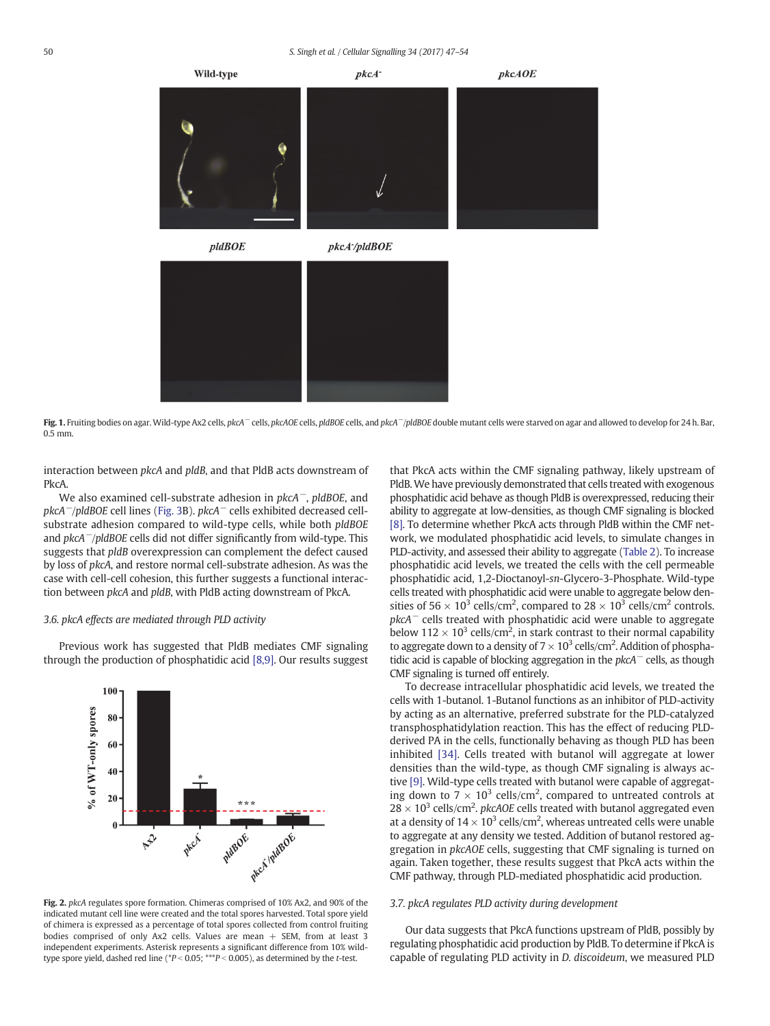#### 50 S. Singh et al. / Cellular Signalling 34 (2017) 47–54



Fig. 1. Fruiting bodies on agar. Wild-type Ax2 cells, pkcA<sup>-</sup> cells, pkcAOE cells, pldBOE cells, and pkcA<sup>-</sup>/pldBOE double mutant cells were starved on agar and allowed to develop for 24 h. Bar, 0.5 mm.

interaction between pkcA and pldB, and that PldB acts downstream of PkcA.

We also examined cell-substrate adhesion in *pkcA<sup>-</sup>*, *pldBOE*, and pkcA−/pldBOE cell lines (Fig. 3B). pkcA<sup>−</sup> cells exhibited decreased cellsubstrate adhesion compared to wild-type cells, while both pldBOE and pkcA−/pldBOE cells did not differ significantly from wild-type. This suggests that pldB overexpression can complement the defect caused by loss of pkcA, and restore normal cell-substrate adhesion. As was the case with cell-cell cohesion, this further suggests a functional interaction between pkcA and pldB, with PldB acting downstream of PkcA.

#### 3.6. pkcA effects are mediated through PLD activity

Previous work has suggested that PldB mediates CMF signaling through the production of phosphatidic acid [8,9]. Our results suggest



Fig. 2. pkcA regulates spore formation. Chimeras comprised of 10% Ax2, and 90% of the indicated mutant cell line were created and the total spores harvested. Total spore yield of chimera is expressed as a percentage of total spores collected from control fruiting bodies comprised of only Ax2 cells. Values are mean  $+$  SEM, from at least 3 independent experiments. Asterisk represents a significant difference from 10% wildtype spore yield, dashed red line (\* $P < 0.05$ ; \*\*\* $P < 0.005$ ), as determined by the t-test.

that PkcA acts within the CMF signaling pathway, likely upstream of PldB.We have previously demonstrated that cells treated with exogenous phosphatidic acid behave as though PldB is overexpressed, reducing their ability to aggregate at low-densities, as though CMF signaling is blocked [8]. To determine whether PkcA acts through PldB within the CMF network, we modulated phosphatidic acid levels, to simulate changes in PLD-activity, and assessed their ability to aggregate (Table 2). To increase phosphatidic acid levels, we treated the cells with the cell permeable phosphatidic acid, 1,2-Dioctanoyl-sn-Glycero-3-Phosphate. Wild-type cells treated with phosphatidic acid were unable to aggregate below densities of  $56 \times 10^3$  cells/cm<sup>2</sup>, compared to  $28 \times 10^3$  cells/cm<sup>2</sup> controls.  $pkcA$ <sup>-</sup> cells treated with phosphatidic acid were unable to aggregate below 112  $\times$  10<sup>3</sup> cells/cm<sup>2</sup>, in stark contrast to their normal capability to aggregate down to a density of  $7 \times 10^3$  cells/cm<sup>2</sup>. Addition of phosphatidic acid is capable of blocking aggregation in the  $pkcA<sup>-</sup>$  cells, as though CMF signaling is turned off entirely.

To decrease intracellular phosphatidic acid levels, we treated the cells with 1-butanol. 1-Butanol functions as an inhibitor of PLD-activity by acting as an alternative, preferred substrate for the PLD-catalyzed transphosphatidylation reaction. This has the effect of reducing PLDderived PA in the cells, functionally behaving as though PLD has been inhibited [34]. Cells treated with butanol will aggregate at lower densities than the wild-type, as though CMF signaling is always active [9]. Wild-type cells treated with butanol were capable of aggregating down to  $7 \times 10^3$  cells/cm<sup>2</sup>, compared to untreated controls at  $28 \times 10^3$  cells/cm<sup>2</sup>. pkcAOE cells treated with butanol aggregated even at a density of  $14 \times 10^3$  cells/cm<sup>2</sup>, whereas untreated cells were unable to aggregate at any density we tested. Addition of butanol restored aggregation in pkcAOE cells, suggesting that CMF signaling is turned on again. Taken together, these results suggest that PkcA acts within the CMF pathway, through PLD-mediated phosphatidic acid production.

#### 3.7. pkcA regulates PLD activity during development

Our data suggests that PkcA functions upstream of PldB, possibly by regulating phosphatidic acid production by PldB. To determine if PkcA is capable of regulating PLD activity in D. discoideum, we measured PLD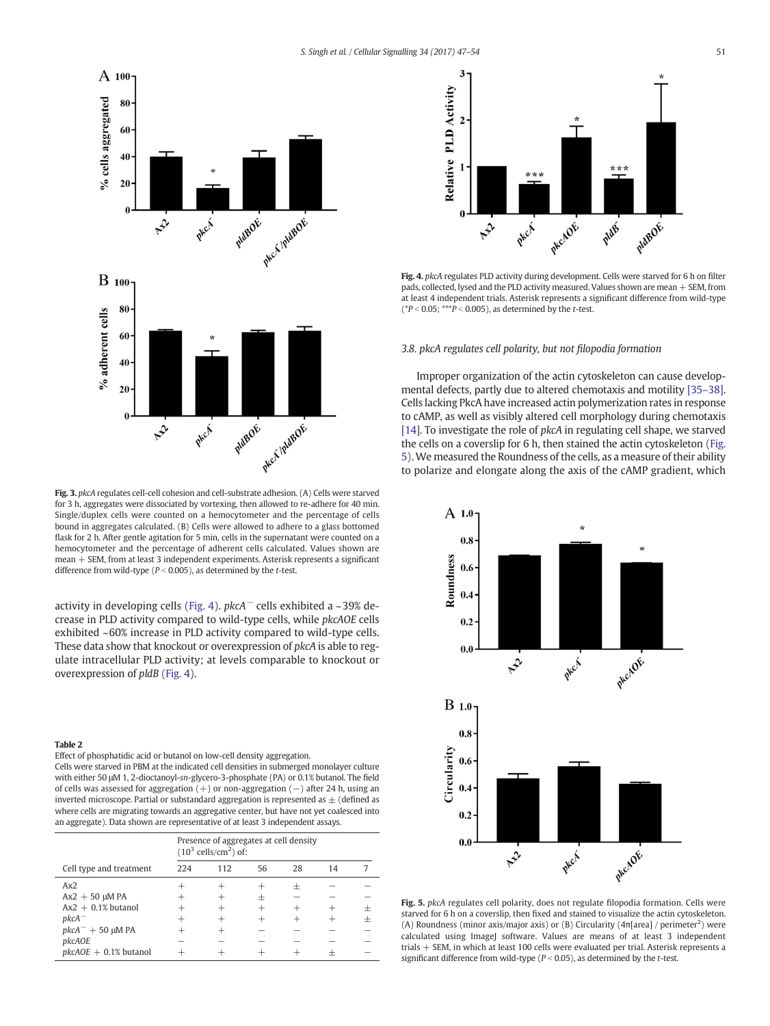

Fig. 3. pkcA regulates cell-cell cohesion and cell-substrate adhesion. (A) Cells were starved for 3 h, aggregates were dissociated by vortexing, then allowed to re-adhere for 40 min. Single/duplex cells were counted on a hemocytometer and the percentage of cells bound in aggregates calculated. (B) Cells were allowed to adhere to a glass bottomed flask for 2 h. After gentle agitation for 5 min, cells in the supernatant were counted on a hemocytometer and the percentage of adherent cells calculated. Values shown are mean + SEM, from at least 3 independent experiments. Asterisk represents a significant difference from wild-type ( $P < 0.005$ ), as determined by the t-test.

activity in developing cells (Fig. 4).  $pkcA$ <sup>-</sup> cells exhibited a ~39% decrease in PLD activity compared to wild-type cells, while pkcAOE cells exhibited ~60% increase in PLD activity compared to wild-type cells. These data show that knockout or overexpression of pkcA is able to regulate intracellular PLD activity; at levels comparable to knockout or overexpression of pldB (Fig. 4).

#### Table 2

Effect of phosphatidic acid or butanol on low-cell density aggregation.

Cells were starved in PBM at the indicated cell densities in submerged monolayer culture with either 50 μM 1, 2-dioctanoyl-sn-glycero-3-phosphate (PA) or 0.1% butanol. The field of cells was assessed for aggregation (+) or non-aggregation (−) after 24 h, using an inverted microscope. Partial or substandard aggregation is represented as  $\pm$  (defined as where cells are migrating towards an aggregative center, but have not yet coalesced into an aggregate). Data shown are representative of at least 3 independent assays.

|                         | Presence of aggregates at cell density<br>$(10^3 \text{ cells/cm}^2)$ of: |     |    |    |    |  |  |
|-------------------------|---------------------------------------------------------------------------|-----|----|----|----|--|--|
| Cell type and treatment | 224                                                                       | 112 | 56 | 28 | 14 |  |  |
| Ax2                     |                                                                           |     |    |    |    |  |  |
| $Ax2 + 50 \mu M PA$     |                                                                           |     |    |    |    |  |  |
| $Ax2 + 0.1%$ butanol    |                                                                           |     |    |    |    |  |  |
| $pkcA^-$                |                                                                           |     |    |    |    |  |  |
| $pkcA^- + 50 \mu M PA$  |                                                                           |     |    |    |    |  |  |
| pkcAOE                  |                                                                           |     |    |    |    |  |  |
| $pkcAOE + 0.1%$ butanol |                                                                           |     |    |    |    |  |  |



Fig. 4. pkcA regulates PLD activity during development. Cells were starved for 6 h on filter pads, collected, lysed and the PLD activity measured. Values shown are mean  $+$  SEM, from at least 4 independent trials. Asterisk represents a significant difference from wild-type  $(*P < 0.05; **P < 0.005)$ , as determined by the t-test.

#### 3.8. pkcA regulates cell polarity, but not filopodia formation

Improper organization of the actin cytoskeleton can cause developmental defects, partly due to altered chemotaxis and motility [35–38]. Cells lacking PkcA have increased actin polymerization rates in response to cAMP, as well as visibly altered cell morphology during chemotaxis [14]. To investigate the role of pkcA in regulating cell shape, we starved the cells on a coverslip for 6 h, then stained the actin cytoskeleton (Fig. 5). We measured the Roundness of the cells, as a measure of their ability to polarize and elongate along the axis of the cAMP gradient, which



Fig. 5. pkcA regulates cell polarity, does not regulate filopodia formation. Cells were starved for 6 h on a coverslip, then fixed and stained to visualize the actin cytoskeleton. (A) Roundness (minor axis/major axis) or (B) Circularity ( $4\pi$ [area] / perimeter<sup>2</sup>) were calculated using ImageJ software. Values are means of at least 3 independent trials + SEM, in which at least 100 cells were evaluated per trial. Asterisk represents a significant difference from wild-type ( $P < 0.05$ ), as determined by the t-test.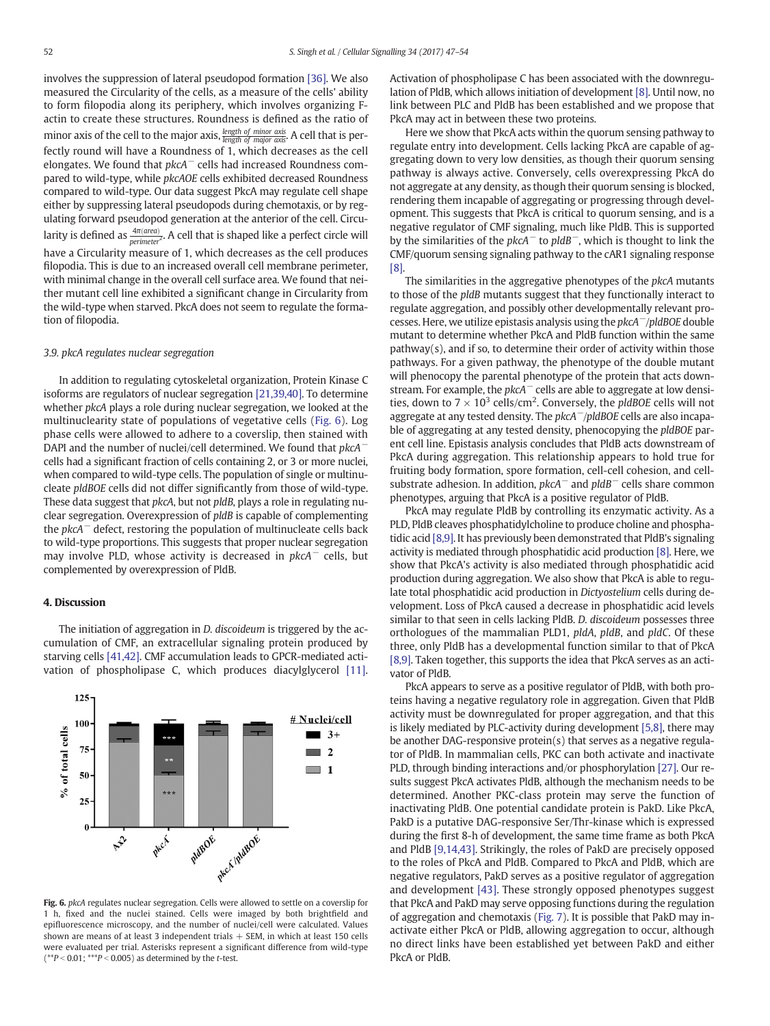involves the suppression of lateral pseudopod formation [36]. We also measured the Circularity of the cells, as a measure of the cells' ability to form filopodia along its periphery, which involves organizing Factin to create these structures. Roundness is defined as the ratio of minor axis of the cell to the major axis,  $\frac{length\ of\ minor\ axis}{length\ of\ major\ axis}$ . A cell that is perfectly round will have a Roundness of 1, which decreases as the cell elongates. We found that pkcA<sup>−</sup> cells had increased Roundness compared to wild-type, while pkcAOE cells exhibited decreased Roundness compared to wild-type. Our data suggest PkcA may regulate cell shape either by suppressing lateral pseudopods during chemotaxis, or by regulating forward pseudopod generation at the anterior of the cell. Circularity is defined as  $\frac{4\pi(areal)}{perimeter^2}$ . A cell that is shaped like a perfect circle will have a Circularity measure of 1, which decreases as the cell produces filopodia. This is due to an increased overall cell membrane perimeter, with minimal change in the overall cell surface area. We found that neither mutant cell line exhibited a significant change in Circularity from the wild-type when starved. PkcA does not seem to regulate the formation of filopodia.

#### 3.9. pkcA regulates nuclear segregation

In addition to regulating cytoskeletal organization, Protein Kinase C isoforms are regulators of nuclear segregation [21,39,40]. To determine whether pkcA plays a role during nuclear segregation, we looked at the multinuclearity state of populations of vegetative cells (Fig. 6). Log phase cells were allowed to adhere to a coverslip, then stained with DAPI and the number of nuclei/cell determined. We found that pkcA<sup>-</sup> cells had a significant fraction of cells containing 2, or 3 or more nuclei, when compared to wild-type cells. The population of single or multinucleate pldBOE cells did not differ significantly from those of wild-type. These data suggest that pkcA, but not pldB, plays a role in regulating nuclear segregation. Overexpression of pldB is capable of complementing the pkcA<sup>−</sup> defect, restoring the population of multinucleate cells back to wild-type proportions. This suggests that proper nuclear segregation may involve PLD, whose activity is decreased in pkcA<sup>−</sup> cells, but complemented by overexpression of PldB.

## 4. Discussion

 $125$ 

100

75

50 25

 $\mathbf{0}$ 

**H2-**

% of total cells

The initiation of aggregation in D. discoideum is triggered by the accumulation of CMF, an extracellular signaling protein produced by starving cells [41,42]. CMF accumulation leads to GPCR-mediated activation of phospholipase C, which produces diacylglycerol [11].

# Nuclei/cell

 $3+$ 

 $\overline{2}$  $\Box$  1



plateOE

**PKCA** 

Deck Indusor

Activation of phospholipase C has been associated with the downregulation of PldB, which allows initiation of development [8]. Until now, no link between PLC and PldB has been established and we propose that PkcA may act in between these two proteins.

Here we show that PkcA acts within the quorum sensing pathway to regulate entry into development. Cells lacking PkcA are capable of aggregating down to very low densities, as though their quorum sensing pathway is always active. Conversely, cells overexpressing PkcA do not aggregate at any density, as though their quorum sensing is blocked, rendering them incapable of aggregating or progressing through development. This suggests that PkcA is critical to quorum sensing, and is a negative regulator of CMF signaling, much like PldB. This is supported by the similarities of the  $pkcA^-$  to  $pldB^-$ , which is thought to link the CMF/quorum sensing signaling pathway to the cAR1 signaling response [8].

The similarities in the aggregative phenotypes of the pkcA mutants to those of the pldB mutants suggest that they functionally interact to regulate aggregation, and possibly other developmentally relevant processes. Here, we utilize epistasis analysis using the pkcA−/pldBOE double mutant to determine whether PkcA and PldB function within the same pathway(s), and if so, to determine their order of activity within those pathways. For a given pathway, the phenotype of the double mutant will phenocopy the parental phenotype of the protein that acts downstream. For example, the  $pkcA^-$  cells are able to aggregate at low densities, down to  $7 \times 10^3$  cells/cm<sup>2</sup>. Conversely, the pldBOE cells will not aggregate at any tested density. The pkcA−/pldBOE cells are also incapable of aggregating at any tested density, phenocopying the pldBOE parent cell line. Epistasis analysis concludes that PldB acts downstream of PkcA during aggregation. This relationship appears to hold true for fruiting body formation, spore formation, cell-cell cohesion, and cellsubstrate adhesion. In addition, pkcA<sup>−</sup> and pldB<sup>−</sup> cells share common phenotypes, arguing that PkcA is a positive regulator of PldB.

PkcA may regulate PldB by controlling its enzymatic activity. As a PLD, PldB cleaves phosphatidylcholine to produce choline and phosphatidic acid [8,9]. It has previously been demonstrated that PldB's signaling activity is mediated through phosphatidic acid production [8]. Here, we show that PkcA's activity is also mediated through phosphatidic acid production during aggregation. We also show that PkcA is able to regulate total phosphatidic acid production in Dictyostelium cells during development. Loss of PkcA caused a decrease in phosphatidic acid levels similar to that seen in cells lacking PldB. D. discoideum possesses three orthologues of the mammalian PLD1, pldA, pldB, and pldC. Of these three, only PldB has a developmental function similar to that of PkcA [8,9]. Taken together, this supports the idea that PkcA serves as an activator of PldB.

PkcA appears to serve as a positive regulator of PldB, with both proteins having a negative regulatory role in aggregation. Given that PldB activity must be downregulated for proper aggregation, and that this is likely mediated by PLC-activity during development [5,8], there may be another DAG-responsive protein(s) that serves as a negative regulator of PldB. In mammalian cells, PKC can both activate and inactivate PLD, through binding interactions and/or phosphorylation [27]. Our results suggest PkcA activates PldB, although the mechanism needs to be determined. Another PKC-class protein may serve the function of inactivating PldB. One potential candidate protein is PakD. Like PkcA, PakD is a putative DAG-responsive Ser/Thr-kinase which is expressed during the first 8-h of development, the same time frame as both PkcA and PldB [9,14,43]. Strikingly, the roles of PakD are precisely opposed to the roles of PkcA and PldB. Compared to PkcA and PldB, which are negative regulators, PakD serves as a positive regulator of aggregation and development [43]. These strongly opposed phenotypes suggest that PkcA and PakD may serve opposing functions during the regulation of aggregation and chemotaxis (Fig. 7). It is possible that PakD may inactivate either PkcA or PldB, allowing aggregation to occur, although no direct links have been established yet between PakD and either PkcA or PldB.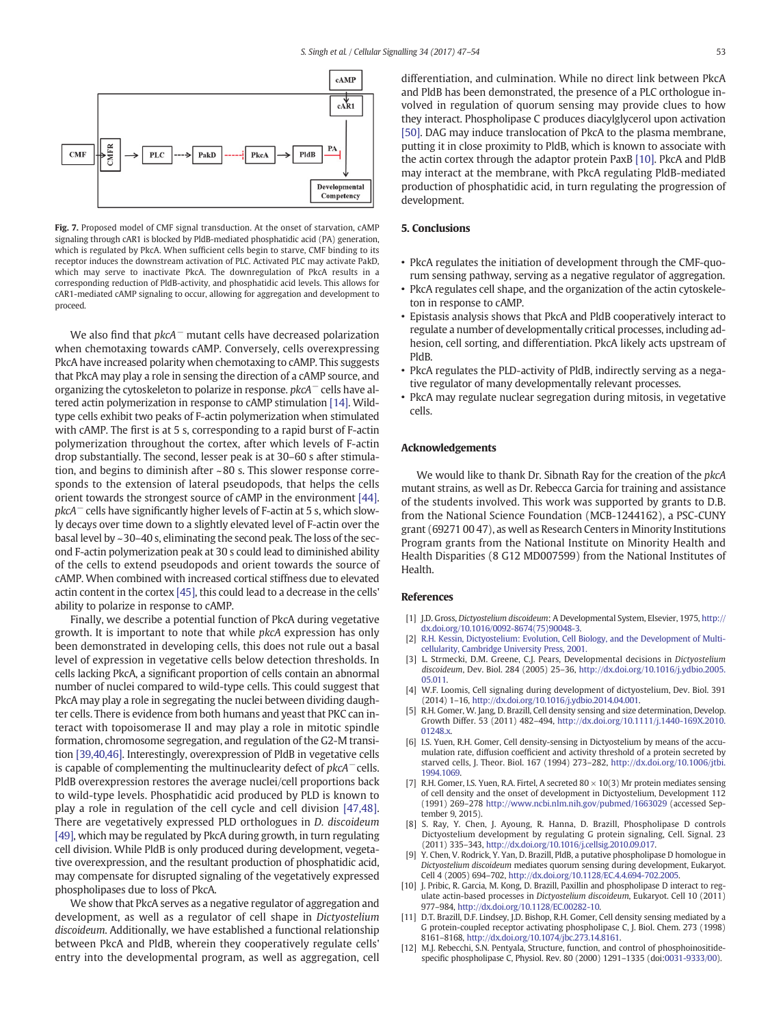

Fig. 7. Proposed model of CMF signal transduction. At the onset of starvation, cAMP signaling through cAR1 is blocked by PldB-mediated phosphatidic acid (PA) generation, which is regulated by PkcA. When sufficient cells begin to starve, CMF binding to its receptor induces the downstream activation of PLC. Activated PLC may activate PakD, which may serve to inactivate PkcA. The downregulation of PkcA results in a corresponding reduction of PldB-activity, and phosphatidic acid levels. This allows for cAR1-mediated cAMP signaling to occur, allowing for aggregation and development to proceed.

We also find that pkcA<sup>−</sup> mutant cells have decreased polarization when chemotaxing towards cAMP. Conversely, cells overexpressing PkcA have increased polarity when chemotaxing to cAMP. This suggests that PkcA may play a role in sensing the direction of a cAMP source, and organizing the cytoskeleton to polarize in response. pkcA<sup>−</sup> cells have altered actin polymerization in response to cAMP stimulation [14]. Wildtype cells exhibit two peaks of F-actin polymerization when stimulated with cAMP. The first is at 5 s, corresponding to a rapid burst of F-actin polymerization throughout the cortex, after which levels of F-actin drop substantially. The second, lesser peak is at 30–60 s after stimulation, and begins to diminish after ~80 s. This slower response corresponds to the extension of lateral pseudopods, that helps the cells orient towards the strongest source of cAMP in the environment [44]. pkcA<sup>−</sup> cells have significantly higher levels of F-actin at 5 s, which slowly decays over time down to a slightly elevated level of F-actin over the basal level by ~30–40 s, eliminating the second peak. The loss of the second F-actin polymerization peak at 30 s could lead to diminished ability of the cells to extend pseudopods and orient towards the source of cAMP. When combined with increased cortical stiffness due to elevated actin content in the cortex [45], this could lead to a decrease in the cells' ability to polarize in response to cAMP.

Finally, we describe a potential function of PkcA during vegetative growth. It is important to note that while pkcA expression has only been demonstrated in developing cells, this does not rule out a basal level of expression in vegetative cells below detection thresholds. In cells lacking PkcA, a significant proportion of cells contain an abnormal number of nuclei compared to wild-type cells. This could suggest that PkcA may play a role in segregating the nuclei between dividing daughter cells. There is evidence from both humans and yeast that PKC can interact with topoisomerase II and may play a role in mitotic spindle formation, chromosome segregation, and regulation of the G2-M transition [39,40,46]. Interestingly, overexpression of PldB in vegetative cells is capable of complementing the multinuclearity defect of pkcA−cells. PldB overexpression restores the average nuclei/cell proportions back to wild-type levels. Phosphatidic acid produced by PLD is known to play a role in regulation of the cell cycle and cell division [47,48]. There are vegetatively expressed PLD orthologues in D. discoideum [49], which may be regulated by PkcA during growth, in turn regulating cell division. While PldB is only produced during development, vegetative overexpression, and the resultant production of phosphatidic acid, may compensate for disrupted signaling of the vegetatively expressed phospholipases due to loss of PkcA.

We show that PkcA serves as a negative regulator of aggregation and development, as well as a regulator of cell shape in Dictyostelium discoideum. Additionally, we have established a functional relationship between PkcA and PldB, wherein they cooperatively regulate cells' entry into the developmental program, as well as aggregation, cell differentiation, and culmination. While no direct link between PkcA and PldB has been demonstrated, the presence of a PLC orthologue involved in regulation of quorum sensing may provide clues to how they interact. Phospholipase C produces diacylglycerol upon activation [50]. DAG may induce translocation of PkcA to the plasma membrane, putting it in close proximity to PldB, which is known to associate with the actin cortex through the adaptor protein PaxB [10]. PkcA and PldB may interact at the membrane, with PkcA regulating PldB-mediated production of phosphatidic acid, in turn regulating the progression of development.

### 5. Conclusions

- PkcA regulates the initiation of development through the CMF-quorum sensing pathway, serving as a negative regulator of aggregation.
- PkcA regulates cell shape, and the organization of the actin cytoskeleton in response to cAMP.
- Epistasis analysis shows that PkcA and PldB cooperatively interact to regulate a number of developmentally critical processes, including adhesion, cell sorting, and differentiation. PkcA likely acts upstream of PldB.
- PkcA regulates the PLD-activity of PldB, indirectly serving as a negative regulator of many developmentally relevant processes.
- PkcA may regulate nuclear segregation during mitosis, in vegetative cells.

#### Acknowledgements

We would like to thank Dr. Sibnath Ray for the creation of the *pkcA* mutant strains, as well as Dr. Rebecca Garcia for training and assistance of the students involved. This work was supported by grants to D.B. from the National Science Foundation (MCB-1244162), a PSC-CUNY grant (69271 00 47), as well as Research Centers in Minority Institutions Program grants from the National Institute on Minority Health and Health Disparities (8 G12 MD007599) from the National Institutes of Health.

#### References

- [1] J.D. Gross, Dictyostelium discoideum: A Developmental System, Elsevier, 1975, http:// dx.doi.org/10.1016/0092-8674(75)90048-3.
- R.H. Kessin, Dictyostelium: Evolution, Cell Biology, and the Development of Multicellularity, Cambridge University Press, 2001.
- [3] L. Strmecki, D.M. Greene, C.J. Pears, Developmental decisions in Dictyostelium discoideum, Dev. Biol. 284 (2005) 25–36, http://dx.doi.org/10.1016/j.ydbio.2005. 05.011.
- W.F. Loomis, Cell signaling during development of dictyostelium, Dev. Biol. 391 (2014) 1–16, http://dx.doi.org/10.1016/j.ydbio.2014.04.001.
- [5] R.H. Gomer, W. Jang, D. Brazill, Cell density sensing and size determination, Develop. Growth Differ. 53 (2011) 482–494, http://dx.doi.org/10.1111/j.1440-169X.2010. 01248.x.
- [6] I.S. Yuen, R.H. Gomer, Cell density-sensing in Dictyostelium by means of the accumulation rate, diffusion coefficient and activity threshold of a protein secreted by starved cells, J. Theor. Biol. 167 (1994) 273–282, http://dx.doi.org/10.1006/jtbi. 1994.1069.
- [7] R.H. Gomer, I.S. Yuen, R.A. Firtel, A secreted  $80 \times 10(3)$  Mr protein mediates sensing of cell density and the onset of development in Dictyostelium, Development 112 (1991) 269–278 http://www.ncbi.nlm.nih.gov/pubmed/1663029 (accessed September 9, 2015).
- [8] S. Ray, Y. Chen, J. Ayoung, R. Hanna, D. Brazill, Phospholipase D controls Dictyostelium development by regulating G protein signaling, Cell. Signal. 23 (2011) 335–343, http://dx.doi.org/10.1016/j.cellsig.2010.09.017.
- Y. Chen, V. Rodrick, Y. Yan, D. Brazill, PldB, a putative phospholipase D homologue in Dictyostelium discoideum mediates quorum sensing during development, Eukaryot. Cell 4 (2005) 694–702, http://dx.doi.org/10.1128/EC.4.4.694-702.2005.
- [10] J. Pribic, R. Garcia, M. Kong, D. Brazill, Paxillin and phospholipase D interact to regulate actin-based processes in Dictyostelium discoideum, Eukaryot. Cell 10 (2011) 977–984, http://dx.doi.org/10.1128/EC.00282-10.
- [11] D.T. Brazill, D.F. Lindsey, J.D. Bishop, R.H. Gomer, Cell density sensing mediated by a G protein-coupled receptor activating phospholipase C, J. Biol. Chem. 273 (1998) 8161–8168, http://dx.doi.org/10.1074/jbc.273.14.8161.
- [12] M.J. Rebecchi, S.N. Pentyala, Structure, function, and control of phosphoinositidespecific phospholipase C, Physiol. Rev. 80 (2000) 1291–1335 (doi:0031-9333/00).